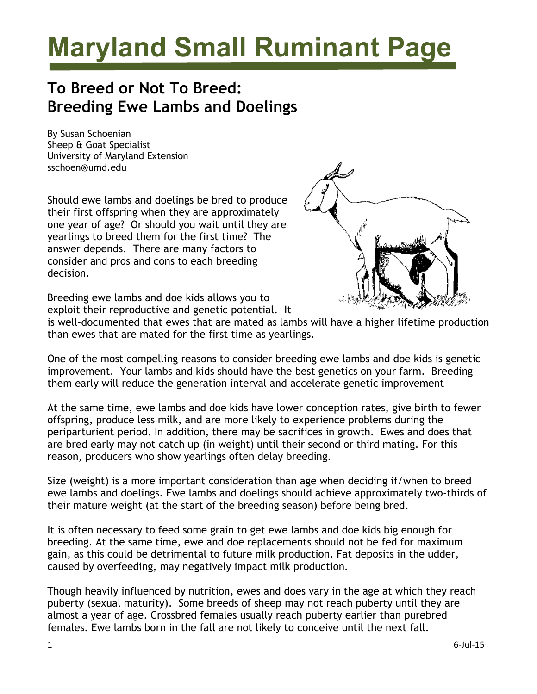## **Maryland Small Ruminant Page**

## **To Breed or Not To Breed: Breeding Ewe Lambs and Doelings**

By Susan Schoenian Sheep & Goat Specialist University of Maryland Extension sschoen@umd.edu

Should ewe lambs and doelings be bred to produce their first offspring when they are approximately one year of age? Or should you wait until they are yearlings to breed them for the first time? The answer depends. There are many factors to consider and pros and cons to each breeding decision.



Breeding ewe lambs and doe kids allows you to exploit their reproductive and genetic potential. It

is well-documented that ewes that are mated as lambs will have a higher lifetime production than ewes that are mated for the first time as yearlings.

One of the most compelling reasons to consider breeding ewe lambs and doe kids is genetic improvement. Your lambs and kids should have the best genetics on your farm. Breeding them early will reduce the generation interval and accelerate genetic improvement

At the same time, ewe lambs and doe kids have lower conception rates, give birth to fewer offspring, produce less milk, and are more likely to experience problems during the periparturient period. In addition, there may be sacrifices in growth. Ewes and does that are bred early may not catch up (in weight) until their second or third mating. For this reason, producers who show yearlings often delay breeding.

Size (weight) is a more important consideration than age when deciding if/when to breed ewe lambs and doelings. Ewe lambs and doelings should achieve approximately two-thirds of their mature weight (at the start of the breeding season) before being bred.

It is often necessary to feed some grain to get ewe lambs and doe kids big enough for breeding. At the same time, ewe and doe replacements should not be fed for maximum gain, as this could be detrimental to future milk production. Fat deposits in the udder, caused by overfeeding, may negatively impact milk production.

Though heavily influenced by nutrition, ewes and does vary in the age at which they reach puberty (sexual maturity). Some breeds of sheep may not reach puberty until they are almost a year of age. Crossbred females usually reach puberty earlier than purebred females. Ewe lambs born in the fall are not likely to conceive until the next fall.